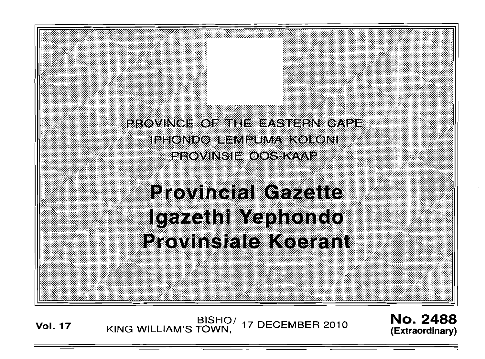FRN OA <u>erovinu</u>e IPHONDO ILEMPUMA KOLONI PEOVINSIE OOS KAAP

**Provincial Gazette** Igazeth Yephondo Provinsiale Koerant

**Vol. 17**  BISHO/ 17 DECEMBER 2010<br>KING WILLIAM'S TOWN,

 $\mathcal{G}^{\prime\prime}$ 

: '

': :; :' '

,,';~ :','3 "..

No. 2488 **(Extraordinary)** 

, .:

.. ,,',:::,:;:; "",; :tI!  $:$ : ,::::

: . :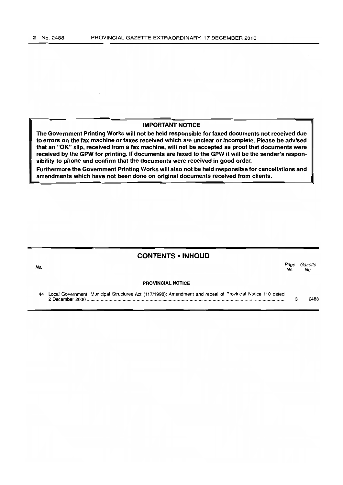#### IMPORTANT NOTICE

The Government Printing Works will not be held responsible for faxed documents not received due to errors on the fax machine or faxes received which are unclear or incomplete. Please be advised that an "OK" slip, received from a fax machine, will not be accepted as proof that documents were received by the GPW for printing. If documents are faxed to the GPW it will be the sender's responsibility to phone and confirm that the documents were received in good order.

Furthermore the Government Printing Works will also not be held responsible for cancellations and amendments which have not been done on original documents received from clients.

# CONTENTS • INHOUD

#### السواب المستخدم المستخدم المستخدم المستخدم المستخدم المستخدم المستخدم المستخدم المستخدم المستخدم المستخدم المس<br>المستخدم المستخدم المستخدم المستخدم المستخدم المستخدم المستخدم المستخدم المستخدم المستخدم المستخدم المستخدم ال No. No.

#### PROVINCIAL NOTICE

44 Local Government: Municipal Structures Act (117/1998): Amendment and repeal of Provincial Notice 110 dated 2 December 2000 ................................................................................................................................ , ........................ . 3 2488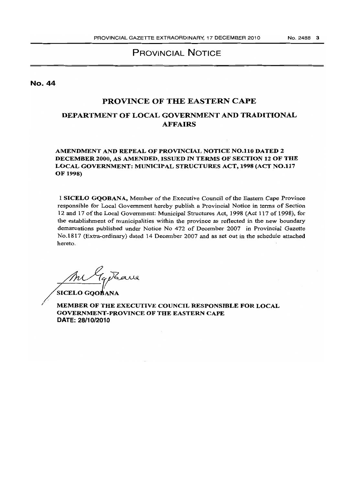# PROVINCIAL NOTICE

No. 44

# PROVINCE OF THE EASTERN CAPE

# DEPARTMENT OF LOCAL GOVERNMENT AND TRADITIONAL AFFAIRS

# AMENDMENT AND REPEAL OF PROVINCIAL NOTICE NO.lIO DATED 2 DECEMBER 2000, AS AMENDED, ISSUED IN TERMS OF SECTION 12 OF THE LOCAL GOVERNMENT: MUNICIPAL STRUCTURES ACT, 1998 (ACT NO.1l7 OF 1998)

I SICELO GQOBANA, Member of the Executive Council of the Eastern Cape Province responsible for Local Government hereby publish a Provincial Notice in terms of Section 12 and 17 of the Local Government: Municipal Structures Act, 1998 (Act 117 of 1998), for the establishment of municipalities within the province as reflected in the new boundary demarcations published under Notice No 472 of December 2007 in Provincial Gazette No.181? (Extra-ordinary) dated 14 December 2007 and as set out in the schedule attached hereto.

Tg Rave

**SICELO GOOBANA** 

MEMBER OF THE EXECUTIVE COUNCIL RESPONSIBLE FOR LOCAL GOVERNMENT-PROVINCE OF THE EASTERN CAPE DATE: 28/10/2010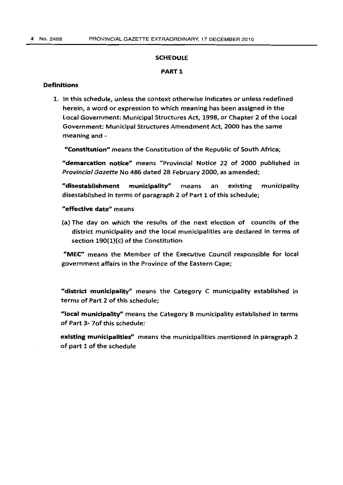#### **SCHEDULE**

### PART 1

### Definitions

1. In this schedule, unless the context otherwise indicates or unless redefined herein, a word or expression to which meaning has been assigned in the local Government: Municipal Structures Act, 1998, or Chapter 2 of the local Government: Municipal Structures Amendment Act, 2000 has the same meaning and -

"ConstItution" means the Constitution of the Republic of South Africa;

"demarcation notice" means "Provincial Notice 22 of 2000 published in *Provincial Gazette* No 486 dated 28 February 2000, as amended;

"disestablishment municipality" means an existing municipality disestablished in terms of paragraph 2 of Part 1 of this schedule;

"effective date" means

(a) The day on which the results of the next election of councils of the district municipality and the local municipalities are declared in terms of section 190(1)(c) of the Constitution

"MEC" means the Member of the Executive Council responsible for local government affairs in the Province of the Eastern Cape;

"district municipality" means the Category C municipality established in terms of Part 2 of this schedule;

"local municipality" means the Category B municipality established in terms of Part 3- 70f this schedule;

existing municipalities" means the municipalities mentioned in paragraph 2 of part 1 of the schedule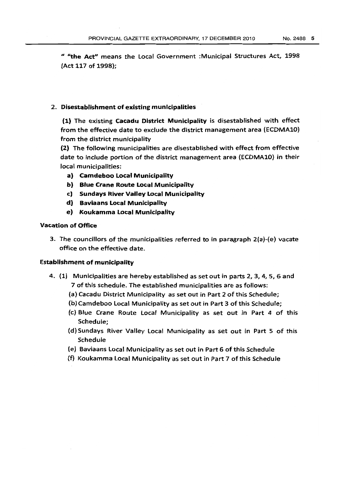II "4the Act" means the local Government :Municipal Structures Act, 1998 (Act 117 of 1998);

### 2. Disestablishment of existing municipalities

(1) The existing cacadu District Municipality is disestablished with effect from the effective date to exclude the district management area (ECDMA10) from the district municipality

(2) The following municipalities are disestablished with effect from effective date to include portion of the district management area (ECDMA10) in their local municipalities:

- a) Camdeboo Loeal Municipality
- b) Blue Crane Route Local Municipality
- c) Sundays River Vallev Local Municipality
- d} Baviaans Local Municipality
- e) Koukamma local Municipality

# Vacation of Office

3. The councillors of the municipalities referred to in paragraph 2(a)-(e) vacate office on the effective date.

# Establishment of municipality

- 4. (1) Municipalities are hereby established as set out in parts 2, 3, 4,5, 6 and 7 of this schedule. The established municipalities are as follows:
	- (a) Cacadu District Municipality as set out in Part 2 of this Schedule;
	- (b)Camdeboo Local Municipality as set out in Part 3 of this Schedule;
	- (c) Blue Crane Route Local Municipality as set out in Part 4 of this Schedule;
	- (d) Sundays River Valley Local Municipality as set out in Part 5 of this Schedule
	- (e) Baviaans Local Municipality as set out in Part 6 of this Schedule
	- (f) Koukamma Local Municipality as set out in Part 7 of this Schedule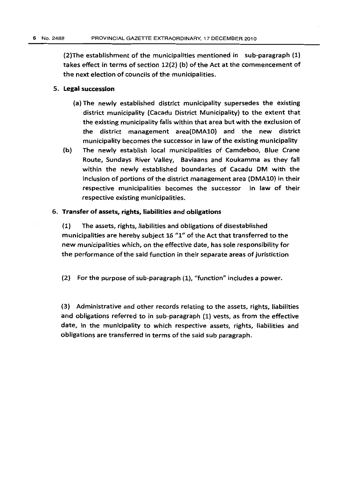(2)The establishment of the municipalities mentioned in sub-paragraph (l) takes effect in terms of section 12(2) (b) of the Act at the commencement of the next election of councils of the municipalities.

#### 5. Legal succession

- (a) The newly established district municipality supersedes the existing district municipality (Cacadu District Municipality) to the extent that the existing municipality falls within that area but with the exclusion of the district management area(DMA10) and the new district municipality becomes the successor in Jaw of the existing municipality
- (b) The newly establish local municipalities of Camdeboo, Blue Crane Route, Sundays River Valley, Baviaans and Koukamma as they fall within the newly established boundaries of Cacadu OM with the inclusion of portions of the district management area (DMA10) in their respective municipalities becomes the successor in law of their respective existing municipalities.

### 6. Transfer of assets, rights, liabilities and obligations

(1) The assets, rights, liabilities and obligations of disestablished municipalities are hereby subject 16 *"1"* of the Act that transferred to the new municipalities which, on the effective date, has sale responsibility for the performance of the said function in their separate areas of juristiction

(2) For the purpose of sub~paragraph (1), "function" includes a power.

(3) Administrative and other records relating to the assets, rights, liabilities and obligations referred to in sub-paragraph (1) vests, as from the effective date, in the municipality to which respective assets, rights, liabilities and obligations are transferred in terms of the said sub paragraph.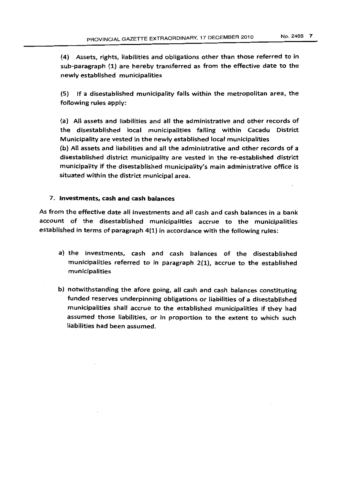{4} Assets, rights, liabilities and obligations other than those referred to in sub-paragraph (1) are hereby transferred as from the effective date to the newly established municipalities

(5) If a disestablished municipality falls within the metropolitan area, the following rules apply:

(a) All assets and liabilities and all the administrative and other records of the disestablished local municipalities falling within Cacadu District Municipality are vested in the newly established local municipalities (b) All assets and liabilities and all the administrative and other records of a disestablished district municipality are vested in the re-established district municipality if the disestablished municipality's main administrative office is situated within the district municipal area.

### 7. Investments, cash and cash balances

As from the effective date all investments and all cash and cash balances in a bank account of the disestablished municipalities accrue to the municipalities established in terms of paragraph 4(1) in accordance with the following rules:

- a) the investments, cash and cash balances of the disestablished municipalities referred to in paragraph 2(1), accrue to the established municipalities
- b) notwithstanding the afore going, all cash and cash balances constituting funded reserves underpinning obligations or liabilities of a disestablished municipalities shall accrue to the established municipalities if they had assumed those liabilities, or in proportion to the extent to which such liabilities had been assumed.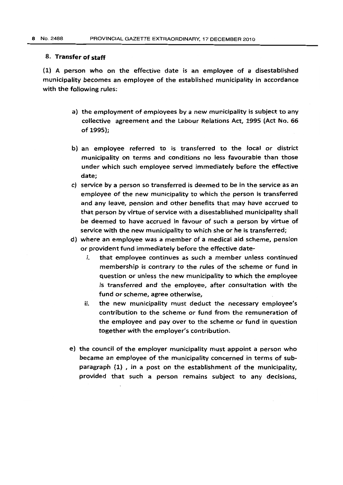#### 8. Transfer of staff

(1) A person who on the effective date is an employee of a disestablished municipality becomes an employee of the established municipality in accordance with the following rules:

- a) the employment of employees by a new municipality is subject to any collective agreement and the Labour Relations Act, 1995 (Act No. 66 of 1995);
- b) an employee referred to is transferred to the local or district municipality on terms and conditions no less favourable than those under which such employee served immediately before the effective date;
- c) service by a person so transferred is deemed to be in the service as an employee of the new municipality to which the person is transferred and any leave, pension and other benefits that may have accrued to that person by virtue of service with a disestablished municipality shall be deemed to have accrued in favour of such a person by virtue of service with the new municipality to which she or he is transferred;
- d) where an employee was a member of a medical aid scheme. pension or provident fund immediately before the effective date
	- i. that employee continues as such a member unless continued membership is contrary to the rules of the scheme or fund in question or unless the new municipality to which the employee is transferred and the employee, after consultation with the fund or scheme, agree otherwise,
	- ii. the new municipality must deduct the necessary employee's contribution to the scheme or fund from the remuneration of the employee and pay over to the scheme or fund in question together with the employer's contribution.
- e) the council of the employer municipality must appoint a person who became an employee of the municipality concerned in terms of subparagraph (l) , in a post on the establishment of the municipality, provided that such a person remains subject to any decisions,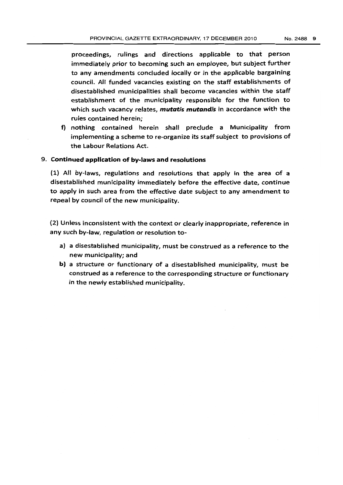proceedings} rulings and directions applicable to that person immediately prior to becoming such an employee. but subject further to any amendments concluded locally or in the applicable bargaining council. All funded vacancies existing on the staff establishments of disestablished municipalities shall become vacancies within the staff establishment of the municipality responsible for the function to which such vacancy relates, *mutatis mutandis* in accordance with the rules contained herein;

f) nothing contained herein shalf preclude a Municipality from implementing a scheme to re-organize its staff subject to provisions of the labour Relations Act.

### 9. Continued application of by-laws and resolutions

(1) All by-laws, regulations and resolutions that apply in the area of a disestablished municipality immediately before the effective date, continue to apply in such area from the effective date subject to any amendment to repeal by council of the new municipality.

(2) Unless inconsistent with the context or clearly inappropriate. reference in any such by-law, regulation or resolution to-

- a) a disestablished municipality. must be construed as a reference to the new municipality; and
- b) a structure or functionary of a disestablished municipality, must be construed as a reference to the corresponding structure or functionary in the newly established municipality.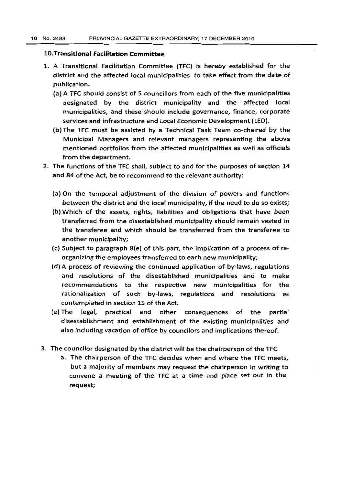## lO.Transitlonal Facilitation Committee

- 1. A Transitional Facilitation Committee (TFC) is hereby established for the district and the affected local municipalities to take effect from the date of publication.
	- (a) A TFC should consist of 5 councillors from each of the five municipalities designated by the district municipality and the affected local municipalities, and these should include governance, finance, corporate services and infrastructure and Local Economic Development (LED).
	- (b) The TFC must be assisted by a Technical Task Team co-chaired by the Municipal Managers and relevant managers representing the above mentioned portfolios from the affected municipalities as well as officials from the department.
- 2. The functions of the TFC shall, subject to and for the purposes of section 14 and 84 of the Act, be to recommend to the relevant authority:
	- (a) On the temporal adjustment of the division of powers and functions between the district and the local municipality, if the need to do so exists;
	- (b) Which of the assets, rights, liabilities and obligations that have been transferred from the disestablished municipality should remain vested in the transferee and which should be transferred from the transferee to another municipality;
	- (c) Subject to paragraph  $8(e)$  of this part, the implication of a process of reorganizing the employees transferred to each new municipality;
	- (d) A process of reviewing the continued application of by-laws, regulations and resolutions of the disestablished municipalities and to make recommendations to the respective new municipalities for the rationalization of such by-laws, regulations and resolutions as contemplated in section 15 of the Act.
	- (e) The legal. practical and other consequences of the partial disestablishment and establishment of the existing municipalities and also including vacation of office by councilors and implications thereof.
- 3. The councilor designated by the district will be the chairperson of the TFC
	- a. The chairperson of the TFC decides when and where the TFC meets, but a majority of members may request the chairperson in writing to convene a meeting of the TFC at a time and place set out in the request;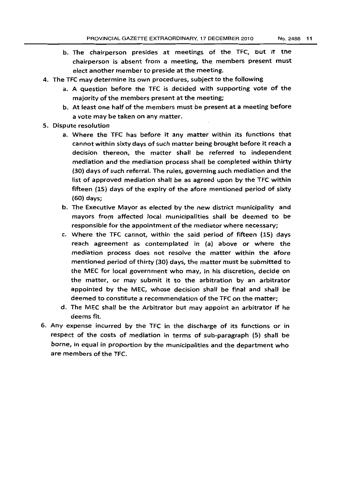- b. The chairperson presides at meetings of the TFC, but it the chairperson is absent from a meeting, the members present must elect another member to preside at the meeting.
- 4. The TFC may determine its own procedures, subject to the following
	- a. A question before the TFC is decided with supporting vote of the majority of the members present at the meeting;
	- b. At least one half of the members must be present at a meeting before a vote may be taken on any matter.
- 5. Dispute resolution
	- a. Where the TFC has before it any matter within its functions that cannot within sixty days of such matter being brought before it reach a decision thereon, the matter shall be referred to independent mediation and the mediation process shall be completed within thirty (30) days of such referral. The ruJes, governing such mediation and the list of approved mediation shall be as agreed upon by the TFC within fifteen (15) days of the expiry of the afore mentioned period of sixty (60) days;
	- b. The Executive Mayor as elected by the new district municipality and mayors from affected local municipalities shall be deemed to be responsible for the appointment of the mediator where necessary;
	- c. Where the TFC cannot, within the said period of fifteen (15) days reach agreement as contemplated in (a) above or where the mediation process does not resolve the matter within the afore mentioned period of thirty (30) days, the matter must be submitted to the MEC for local government who may, in his discretion, decide on the matter, or may submit it to the arbitration by an arbitrator appointed by the MEC, whose decision shall be final and shall be deemed to constitute a recommendation of the TFC on the matter;
	- d. The MEC shall be the Arbitrator but may appoint an arbitrator if he deems fit.
- 6. Any expense incurred by the TFC in the discharge of its functions or in respect of the costs of mediation in terms of sub-paragraph (5) shall be borne, in equal in proportion by the municipalities and the department who are members of the TFC.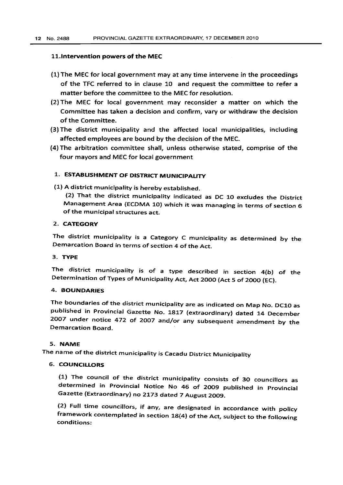#### l1.lntervention powers of the MEC

- (1) The MEC for local government may at any time intervene in the proceedings of the TFC referred to in clause 10 and request the committee to refer a matter before the committee to the MEC for resolution.
- (2) The MEC for local government may reconsider a matter on which the Committee has taken a decision and confirm, vary or withdraw the decision of the Committee.
- (3) The district municipality and the affected local municipalities, including affected employees are bound by the decision of the MEC.
- (4) The arbitration committee shall, unless otherwise stated, comprise of the four mayors and MEC for local government

# 1. ESTABLISHMENT OF DISTRICT MUNICIPALITY

(1) A district municipality is hereby established.

(2) That the district municipality indicated as DC 10 excludes the District Management Area (ECDMA 10) which it was managing in terms of section 6 of the municipal structures act.

# 2. CATEGORY

The district municipality is a Category C municipality as determined by the Demarcation Board in terms of section 4 of the Act.

### 3. TYPE

The district municipality is of a type described in section 4(b} of the Determination of Types of Municipality Act, Act 2000 (Act 5 of 2000 (EC).

### 4. BOUNDARIES

The boundaries of the district municipality are as indicated on Map No. DC10 as published in Provincial Gazette No. 1817 (extraordinary) dated 14 December 2007 under notice 472 of 2007 and/or any subsequent amendment by the Demarcation Board.

## 5. NAME

The name of the district municipality is Cacadu District Municipality

# 6. COUNCILLORS

(1) The council of the district municipality consists of 30 councillors as determined in Provincial Notice No 46 of 2009 published in Provincial Gazette (Extraordinary) no 2173 dated 7 August 2009.

(2) Full time councillors, if any, are designated in accordance with policy framework contemplated in section 18(4) of the Act, subject to the following conditions: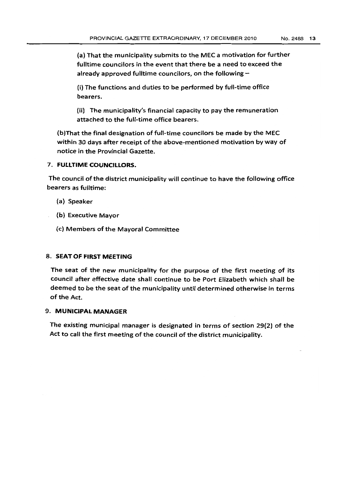(a) That the municipality submits to the MEC a motivation for further fulltime councilors in the event that there be a need to exceed the already approved fulltime councilors, on the following  $-$ 

(i) The functions and duties to be performed by full-time office bearers.

(ii) The municipality's financial capacity to pay the remuneration attached to the full-time office bearers.

(b)That the final designation of full-time councilors be made by the MEC within 30 days after receipt of the above-mentioned motivation by way of notice in the Provincial Gazette.

# 7. FULLTIME COUNCILLORS.

The council of the district municipality will continue to have the following office bearers as fulltime:

- (a) Speaker
- (b) Executive Mayor
- (c) Members of the Mayoral Committee

# 8. SEAT OF FIRST MEETING

The seat of the new municipality for the purpose of the first meeting of its council after effective date shall continue to be Port Elizabeth which shall be deemed to be the seat of the municipality until determined otherwise in terms of the Act.

# 9. MUNICIPAL MANAGER

The existing municipal manager is designated in terms of section 29(2) of the Act to call the first meeting of the council of the district municipality.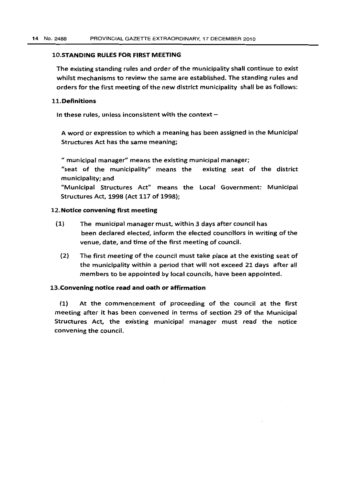## 10.STANDING RULES FOR FIRST MEETING

The existing standing rules and order of the municipalitv shall continue to exist whilst mechanisms to review the same are established. The standing rules and orders for the first meeting of the new district municipality shall be as follows:

#### 11. Definitions

In these rules, unless inconsistent with the context  $-$ 

A word or expression to which a meaning has been assigned in the Municipal Structures Act has the same meaning;

" municipal manager" means the existing municipal manager;

"seat of the municipality" means the existing seat of the district municipality; and

"Municipal Structures Act" means the Local Government: Municipal Structures Act, 1998 (Act 117 of 1998);

#### 12. Notice convening first meeting

- (1) The municipal manager must, within 3 days after council has been declared elected, inform the elected councillors in writing of the venue, date, and time of the first meeting of council.
	- (2) The first meeting of the council must take place at the existing seat of the municipality within a period that will not exceed 21 days after all members to be appointed by local councils, have been appointed.

### 13.Convening notice read and oath or affirmation

(1) At the commencement of proceeding of the council at the first meeting after it has been convened in terms of section 29 of the Municipal Structures Act, the existing municipal manager must read the notice convening the council.